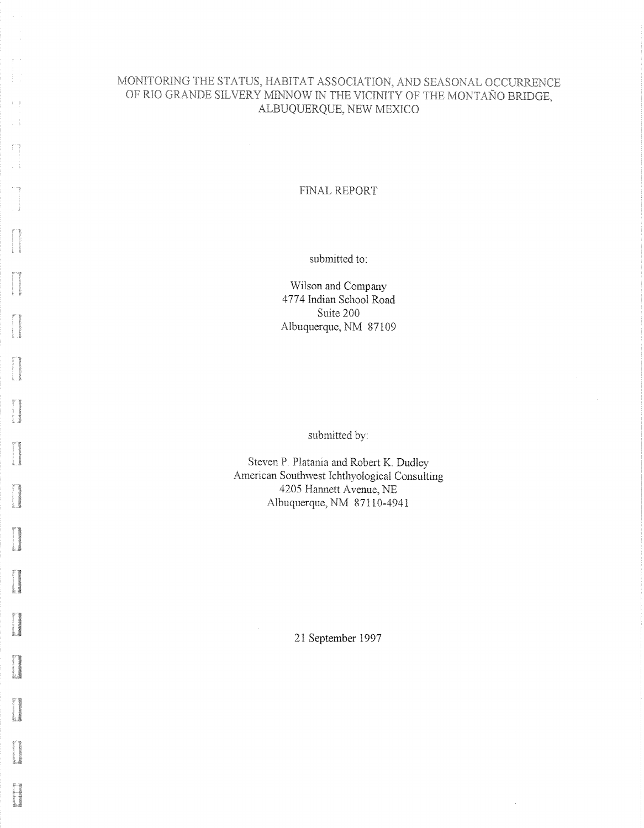# MONITORING THE STATUS, HABITAT ASSOCIATION, AND SEASONAL OCCURRENCE OF RIO GRANDE SILVERY MINNOW IN THE VICINITY OF THE MONTAÑO BRIDGE, ALBUQUERQUE, NEW MEXICO

 $\bar{r}$  .

n)

## FINAL REPORT

submitted to:

Wilson and Company 4774 Indian School Road Suite 200 Albuquerque, NM 87109

submitted by:

Steven P. Platania and Robert K. Dudley American Southwest Ichthyological Consulting 4205 Hannett Avenue, NE Albuquerque, NM 87110-4941

21 September 1997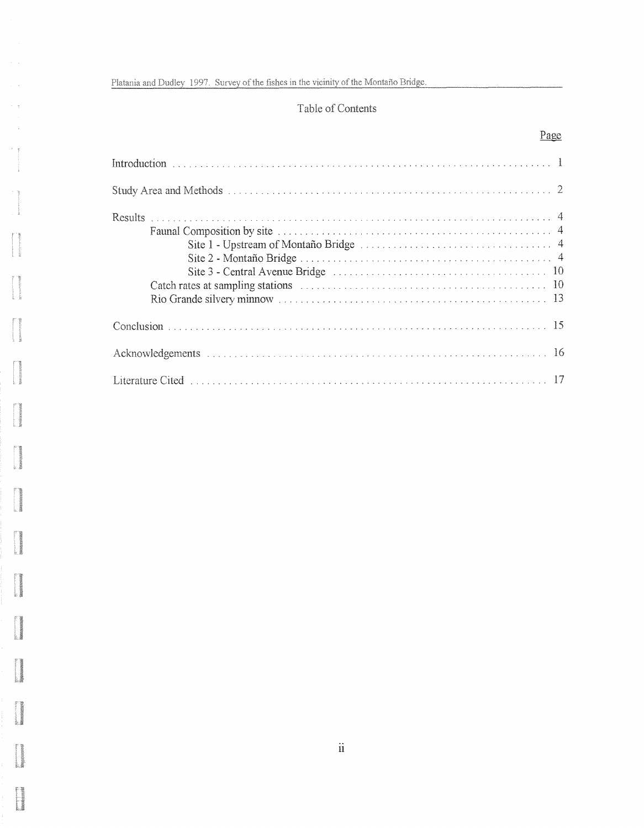$\hat{\rho} = \hat{\rho}$ 

 $\sim$   $\frac{1}{2}$ 

age---------<br>Distribution

ggunaaqiy<br>BBBBBBBB

# Table of Contents

# Page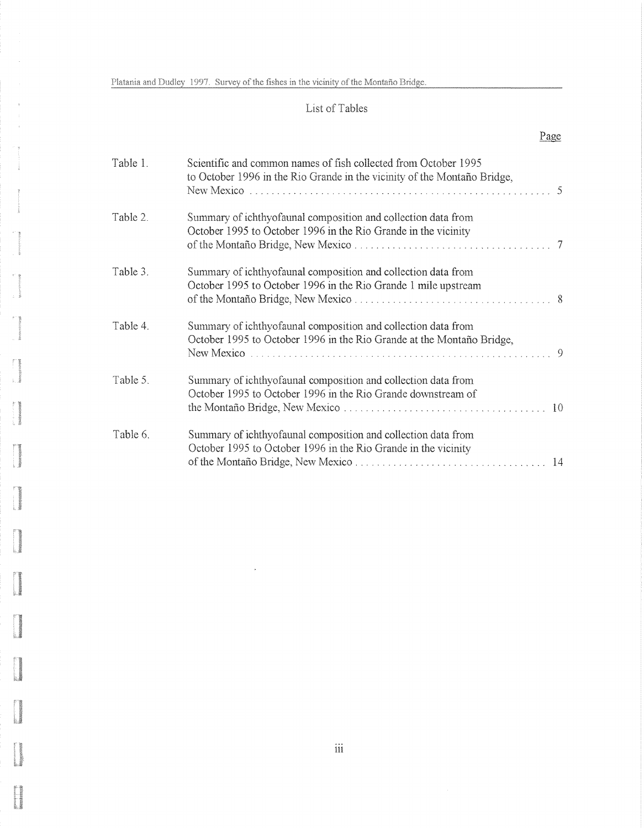$\hat{\mathbf{r}}$ 

ŗ.

L

ţ

# List of Tables

# Page

| Table 1. | Scientific and common names of fish collected from October 1995<br>to October 1996 in the Rio Grande in the vicinity of the Montaño Bridge,<br>New Mexico |        |
|----------|-----------------------------------------------------------------------------------------------------------------------------------------------------------|--------|
| Table 2. | Summary of ichthyofaunal composition and collection data from<br>October 1995 to October 1996 in the Rio Grande in the vicinity                           | $\tau$ |
| Table 3. | Summary of ichthyofaunal composition and collection data from<br>October 1995 to October 1996 in the Rio Grande 1 mile upstream                           |        |
| Table 4. | Summary of ichthyofaunal composition and collection data from<br>October 1995 to October 1996 in the Rio Grande at the Montaño Bridge,                    |        |
| Table 5. | Summary of ichthyofaunal composition and collection data from<br>October 1995 to October 1996 in the Rio Grande downstream of                             |        |
| Table 6. | Summary of ichthyofaunal composition and collection data from<br>October 1995 to October 1996 in the Rio Grande in the vicinity                           |        |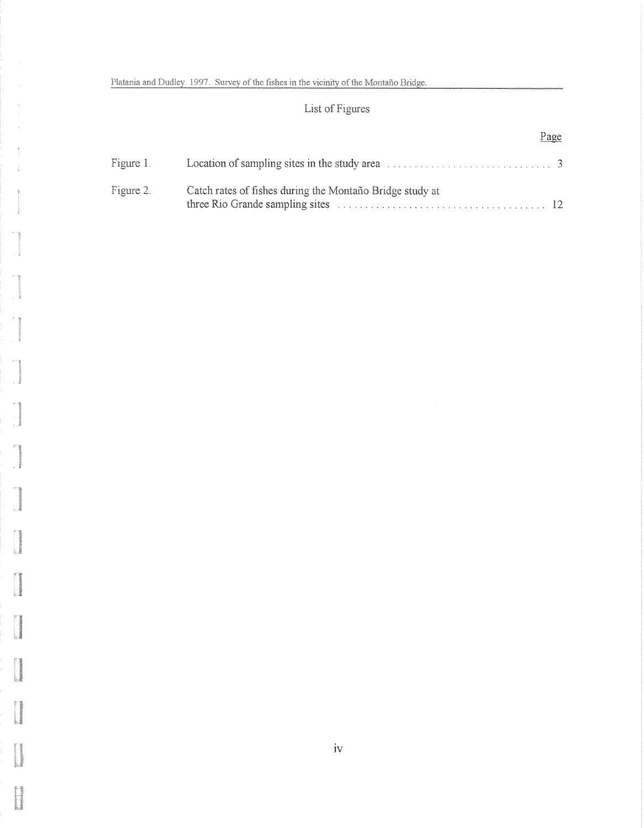i<br>Romania<br>Romania

# List of Figures

|           |                                                          | Page |
|-----------|----------------------------------------------------------|------|
|           |                                                          |      |
| Figure 2. | Catch rates of fishes during the Montaño Bridge study at |      |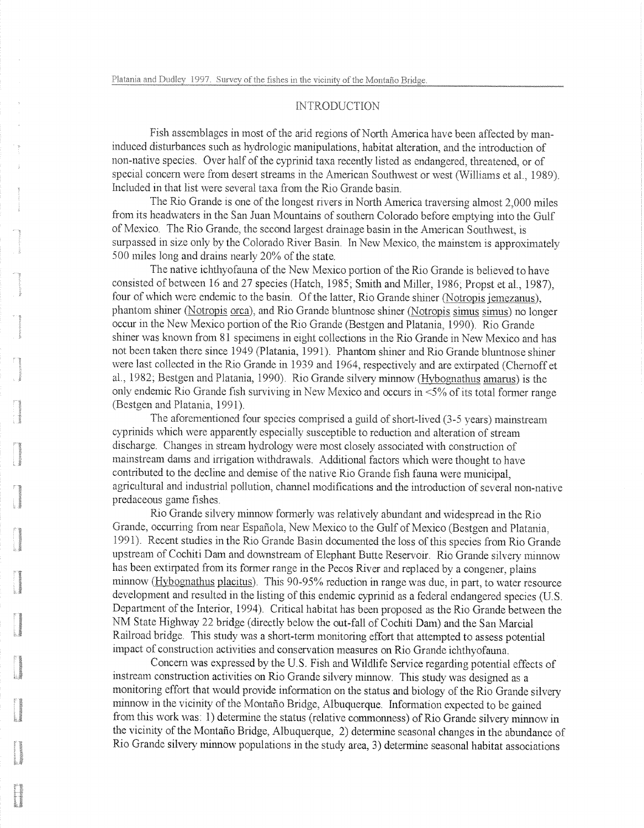# **INTRODUCTION**

Fish assemblages in most of the arid regions of North America have been affected by maninduced disturbances such as hydrologic manipulations, habitat alteration, and the introduction of non-native species. Over half of the cyprinid taxa recently listed as endangered, threatened, or of special concern were from desert streams in the American Southwest or west (Williams et al., 1989). Included in that list were several taxa from the Rio Grande basin.

The Rio Grande is one of the longest rivers in North America traversing almost 2,000 miles from its headwaters in the San Juan Mountains of southern Colorado before emptying into the Gulf of Mexico. The Rio Grande, the second largest drainage basin in the American Southwest, is surpassed in size only by the Colorado River Basin. In New Mexico, the mainstem is approximately 500 miles long and drains nearly 20% of the state.

The native ichthyofauna of the New Mexico portion of the Rio Grande is believed to have consisted of between 16 and 27 species (Hatch, 1985; Smith and Miller, 1986; Propst et al., 1987), four of which were endemic to the basin. Of the latter, Rio Grande shiner (Notropis jemezanus), phantom shiner (Notropis orca), and Rio Grande bluntnose shiner (Notropis simus simus) no longer occur in the New Mexico portion of the Rio Grande (Bestgen and Platania, 1990). Rio Grande shiner was known from 81 specimens in eight collections in the Rio Grande in New Mexico and has not been taken there since 1949 (Platania, 1991). Phantom shiner and Rio Grande bluntnose shiner were last collected in the Rio Grande in 1939 and 1964, respectively and are extirpated (Chernoff et al., 1982; Bestgen and Platania, 1990). Rio Grande silvery minnow (Hybognathus amarus) is the only endemic Rio Grande fish surviving in New Mexico and occurs in  $\leq 5\%$  of its total former range (Bestgen and Platania, 1991).

The aforementioned four species comprised a guild of short-lived  $(3-5 \text{ years})$  mainstream cyprinids which were apparently especially susceptible to reduction and alteration of stream discharge. Changes in stream hydrology were most closciy associated with construction of mainstream dams and irrigation withdrawals. Additional factors which were thought to have contributed to the decline and demise of the native Rio Grande fish fauna were municipal, agricultural and industrial pollution, channel modifications and the introduction of several non-native predaceous game fishes.

Rio Grande silvery minnow formerly was relatively abundant and widespread in the Rio Grande, occurring from near Espanola, New Mexico to the Gulf of Mexico (Bestgen and Platania, 1991). Recent studies in the Rio Grande Basin documented the loss of this species from Rio Grande upstream of Cochiti Dam and downstream of Elephant Butte Reservoir. Rio Grande silvery minnow has been extirpated from its former range in the Pecos River and replaced by a congener, plains minnow (Hybognathus placitus). This 90-95% reduction in range was due, in part, to water resource development and resulted in the listing of this endemic cyprinid as a federal endangered species (U.S. Department of the Interior, 1994). Critical habitat has been proposed as the Rio Grande between the NM State Highway 22 bridge (directly below the out-fall of Cochiti Dam) and the San Marcial Railroad bridge. This study was a short-term monitoring effort that attempted to assess potential impact of construction activities and conservation measures on Rio Grande ichthyofauna.

Concern was expressed by the U.S. Fish and Wildlife Service regarding potential effects of instream construction activities on Rio Grande silvery minnow. This study was designed as a monitoring effort that would provide information on the status and biology of the Rio Grande silvery minnow in the vicinity of the Montaño Bridge, Albuquerque. Information expected to be gained from this work was: 1) determine the status (relative commonness) of Rio Grande silvery minnow in the vicinity of the Montaño Bridge, Albuquerque, 2) determine seasonal changes in the abundance of Rio Grande silvery minnow populations in the study area, 3) deterrnine seasonal habitat associations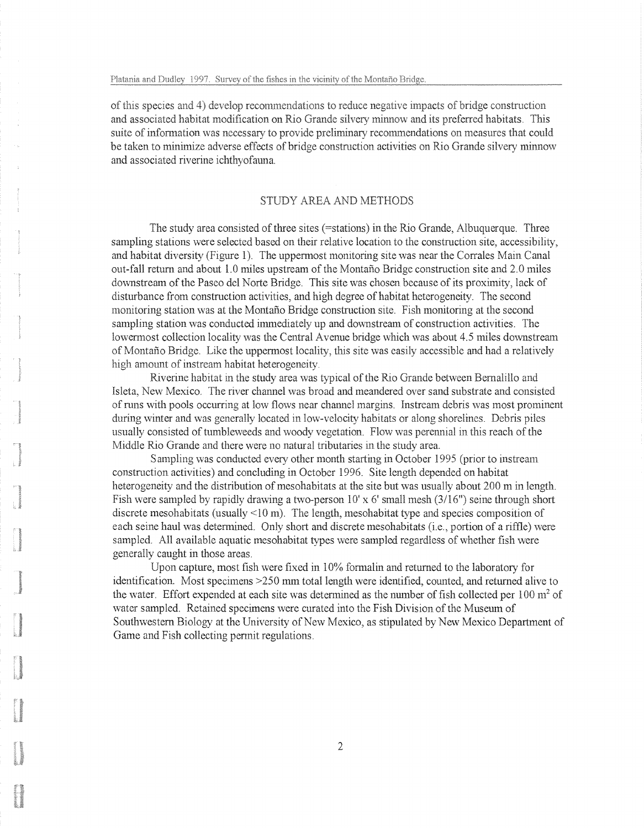of this species and 4) develop recommendations to reduce negative impacts of bridge construction and associated habitat modification on Rio Grande silvery minnow and its preferred habitats. This suite of information was necessary to provide preliminary recommendations on measures that could be taken to minimize adverse effects of bridge construction activities on Rio Grande silvery minnow and associated riverine ichthyofauna.

# STUDY AREA AND METHODS

The study area consisted of three sites (=stations) in the Rio Grande, Albuquerque. Three sampling stations were selected based on their relative location to the construction site, accessibility, and habitat diversity (Figure 1). The uppermost monitoring site was near the Corrales Main Canal out-fall return and about 1.0 miles upstream of the Montano Bridge construction site and 2.0 miles downstream of the Paseo del Norte Bridge. This site was chosen because of its proximity, lack of disturbance from construction activities, and high degree of habitat heterogeneity. The second monitoring station was at the Montaño Bridge construction site. Fish monitoring at the second sampling station was conducted immediately up and downstream of construction activities. The lowermost collection locality was the Central Avenue bridge which was about 4.5 miles downstream of Montano Bridge. Like the uppermost locality, this site was easily accessible and had a relatively high amount of instream habitat heterogeneity.

Riverine habitat in the study area was typical of the Rio Grande between Bernalillo and Isleta, New Mexico. The river channel was broad and meandered over sand substrate and consisted of runs with pools occurring at low flows near channel margins. Instream debris was most prominent during winter and was generally located in low-velocity habitats or along shorelines. Debris piles usually consisted of tumbleweeds and woody vegetation. Flow was perennial in this reach of the Middle Rio Grande and there were no natural tributaries in the study area.

Sampling was conducted every other month starting in October 1995 (prior to instream construction activities) and concluding in October 1996. Site length depended on habitat heterogeneity and the distribution of mesohabitats at the site but was usually about 200 m in length. Fish were sampled by rapidly drawing a two-person  $10' \times 6'$  small mesh (3/16") seine through short discrete mesohabitats (usually  $\leq 10$  m). The length, mesohabitat type and species composition of each seine haul was determined. Only short and discrete mesohabitats (i.e., portion of a riffle) were sampled. All available aquatic mesohabitat types were sampled regardless of whether fish were generally caught in those areas.

Upon capture, most fish were fixed in 10% formalin and returned to the laboratory for identification. Most specimens >250 mm total length were identified, counted, and returned alive to the water. Effort expended at each site was determined as the number of fish collected per  $100 \text{ m}^2$  of water sampled. Retained specimens were curated into the Fish Division of the Museum of Southwestern Biology at the University of New Mexico, as stipulated by New Mexico Department of Game and Fish collecting permit regulations.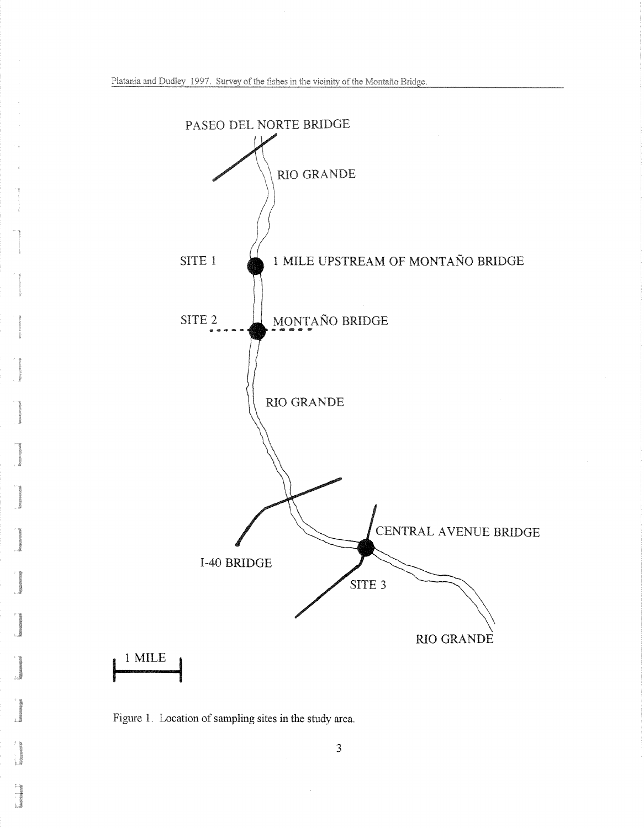

Figure 1. Location of sampling sites in the study area.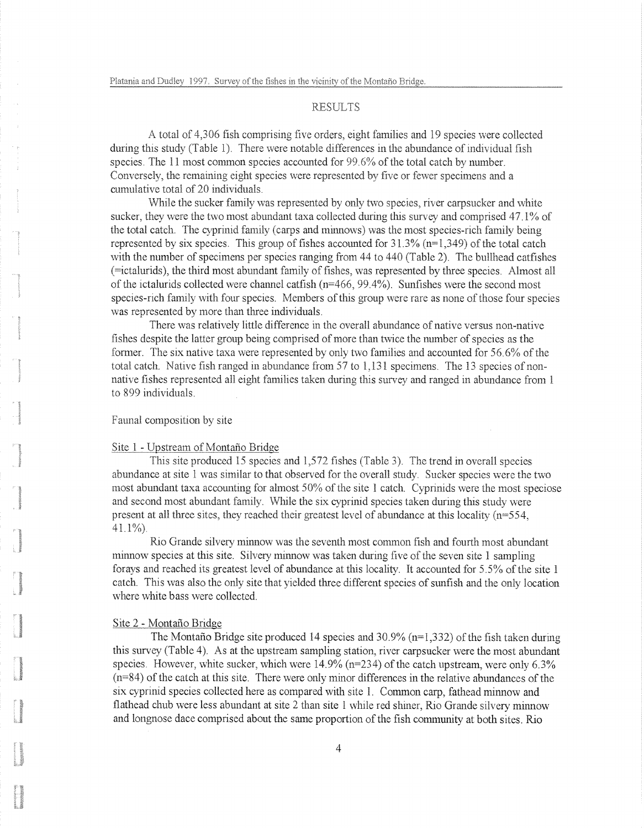## **RESULTS**

A total of 4,306 fish comprising five order., eight families and 19 species were collected during this study (Table 1). There were notable differences in the abundance of individual fish species. The 11 most common species accounted for 99.6% of the total catch by number. Conversely, the remaining eight species were represented by five or fewer specimens and a cumulative total of 20 individuals.

While the sucker family was represented by only two species, river carpsucker and white sucker, they were the two most abundant taxa collected during this survey and comprised  $47.1\%$  of the total catch. The cyprinid family (carps and minnows) was the most species-rich family being represented by six species. This group of fishes accounted for  $31.3\%$  (n=1,349) of the total catch with the number of specimens per species ranging from 44 to 440 (Table 2). The bullhead catfishes (=ictalurids), the third most abundant family of fishes, was represented by three species. Almost all of the ictalurids collected were channel catfish (n=466, 99.4%). Sunfishes were the second most species-rich family with four species. Members of this group were rare as none of those four species was represented by more than three individuals.

There was relatively little difference in the overall abundance of native versus non-native fishes despite the latter group being comprised of more than twice the number of species as the former. The six native taxa were represented by only two families and accounted for  $56.6\%$  of the total catch. Native fish ranged in abundance from  $57$  to  $1,131$  specimens. The 13 species of nonnative fishes represented all eight families taken during this survey and ranged in abundance from 1 to 899 individuals.

### Faunal composition by site

#### Site 1 - Upstream of Montaño Bridge

This site produced 15 species and 1,572 fishes (Table 3). The trend in overall species abundance at site 1 was similar to that observed for the overall study. Sucker species were the two most abundant taxa accounting for almost 50% of the site 1 catch. Cyprinids were the most speciose and second most abundant family. While the six cyprinid species taken during this study were present at all three sites, they reached their greatest level of abundance at this locality  $(n=554,$ 41.1%).

Rio Grande silvery minnow was the seventh most common fish and fourth most abundant minnow species at this site. Silvery minnow was taken during five of the seven site 1 sampling forays and reached its greatest level of abundance at this locality. It accounted for 5.5% of the site 1 catch. This was also the only site that yielded three different species of sunfish and the only location where white bass were collected.

### Site 2 - Montaño Bridge

The Montaño Bridge site produced 14 species and  $30.9\%$  (n=1,332) of the fish taken during this survey (Table 4). As at the upstream sampling station, river carpsucker were the most abundant species. However, white sucker, which were  $14.9\%$  (n=234) of the catch upstream, were only 6.3% (n=84) of the catch at this site. There were only minor differences in the relative abundances of the six cyprinid species collected here as compared with site 1. Common carp, fathead minnow and flathead chub were less abundant at site 2 than site 1 while red shiner, Rio Grande silvery minnow and longnose dace comprised about the same proportion of the fish community at both sites. Rio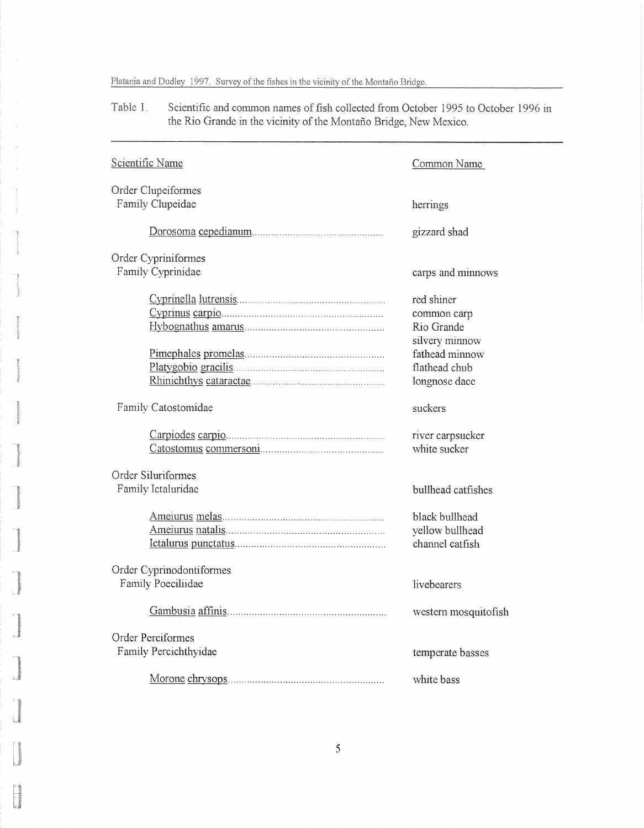Scientific and common names of fish collected from October 1995 to October 1996 in Table 1. the Rio Grande in the vicinity of the Montaño Bridge, New Mexico.

| Scientific Name                                | Common Name                                                        |
|------------------------------------------------|--------------------------------------------------------------------|
| Order Clupeiformes                             |                                                                    |
| Family Clupeidae                               | herrings                                                           |
|                                                | gizzard shad                                                       |
| Order Cypriniformes                            |                                                                    |
| Family Cyprinidae                              | carps and minnows                                                  |
|                                                | red shiner<br>common carp<br>Rio Grande                            |
|                                                | silvery minnow<br>fathead minnow<br>flathead chub<br>longnose dace |
| Family Catostomidae                            | suckers                                                            |
|                                                | river carpsucker<br>white sucker                                   |
| Order Siluriformes<br>Family Ictaluridae       | bullhead catfishes                                                 |
|                                                | black bullhead<br>yellow bullhead<br>channel catfish               |
| Order Cyprinodontiformes<br>Family Poeciliidae | livebearers                                                        |
|                                                | western mosquitofish                                               |
| Order Perciformes<br>Family Percichthyidae     | temperate basses                                                   |
|                                                | white bass                                                         |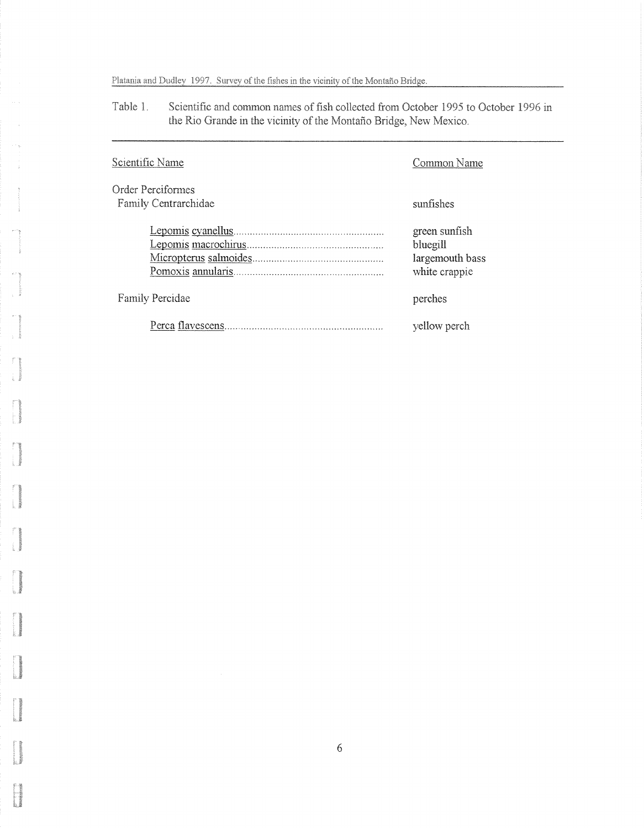Table 1. Scientific and common names of fish collected from October 1995 to October 1996 in the Rio Grande in the vicinity of the Montaño Bridge, New Mexico.

| Scientific Name                           | Common Name                                                   |
|-------------------------------------------|---------------------------------------------------------------|
| Order Perciformes<br>Family Centrarchidae | sunfishes                                                     |
|                                           | green sunfish<br>bluegill<br>largemouth bass<br>white crappie |
| <b>Family Percidae</b>                    | perches                                                       |
|                                           | yellow perch                                                  |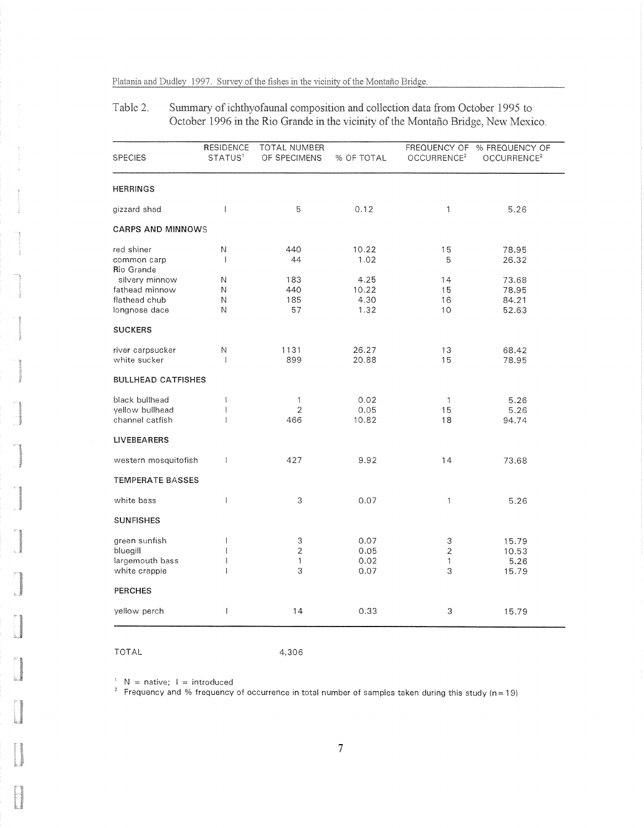#### Table 2. Summary of ichthyofaunal composition and collection data from October 1995 to October 1996 in the Rio Grande in the vicinity of the Montaño Bridge, New Mexico.

| <b>SPECIES</b>            | <b>RESIDENCE</b><br>STATUS <sup>1</sup> | <b>TOTAL NUMBER</b><br>OF SPECIMENS | % OF TOTAL | FREQUENCY OF<br>OCCURRENCE <sup>2</sup> | % FREQUENCY OF<br>OCCURRENCE <sup>2</sup> |
|---------------------------|-----------------------------------------|-------------------------------------|------------|-----------------------------------------|-------------------------------------------|
| <b>HERRINGS</b>           |                                         |                                     |            |                                         |                                           |
| gizzard shad              | $\mathbf{I}$                            | 5                                   | 0.12       | 1                                       | 5.26                                      |
| <b>CARPS AND MINNOWS</b>  |                                         |                                     |            |                                         |                                           |
| red shiner                | N                                       | 440                                 | 10.22      | 15                                      | 78.95                                     |
| common carp               | ŧ                                       | 44                                  | 1.02       | 5                                       | 26.32                                     |
| Rio Grande                |                                         |                                     |            |                                         |                                           |
| silvery minnow            | N                                       | 183                                 | 4.25       | 14                                      | 73.68                                     |
| fathead minnow            | Ν                                       | 440                                 | 10.22      | 15                                      | 78.95                                     |
| flathead chub             | Ν                                       | 185                                 | 4.30       | 16                                      | 84.21                                     |
| longnose dace             | Ν                                       | 57                                  | 1.32       | 10                                      | 52.63                                     |
| <b>SUCKERS</b>            |                                         |                                     |            |                                         |                                           |
| river carpsucker          | N                                       | 1131                                | 26.27      | 13                                      | 68.42                                     |
| white sucker              | -1                                      | 899                                 | 20.88      | 15                                      | 78.95                                     |
| <b>BULLHEAD CATFISHES</b> |                                         |                                     |            |                                         |                                           |
| black bullhead            | Ŧ                                       | 1                                   | 0.02       | 1                                       | 5.26                                      |
| vellow bullhead           | $\mathbb I$                             | $\overline{2}$                      | 0.05       | 15                                      | 5.26                                      |
| channel catfish           | 1                                       | 466                                 | 10.82      | 18                                      | 94.74                                     |
| <b>LIVEBEARERS</b>        |                                         |                                     |            |                                         |                                           |
| western mosquitofish      | ł                                       | 427                                 | 9.92       | 14                                      | 73.68                                     |
| <b>TEMPERATE BASSES</b>   |                                         |                                     |            |                                         |                                           |
| white bass                | $\overline{\phantom{a}}$                | 3                                   | 0.07       | $\mathbf{1}$                            | 5.26                                      |
| <b>SUNFISHES</b>          |                                         |                                     |            |                                         |                                           |
| green sunfish             | $\mathbf{I}$                            | 3                                   | 0.07       | 3                                       | 15.79                                     |
| bluegill                  | $\overline{1}$                          | $\overline{2}$                      | 0.05       | $\overline{2}$                          | 10.53                                     |
| largemouth bass           | $\mathbf{I}$                            | 1                                   | 0.02       | 1                                       | 5.26                                      |
| white crappie             | 1                                       | 3                                   | 0.07       | 3                                       | 15.79                                     |
| <b>PERCHES</b>            |                                         |                                     |            |                                         |                                           |
| yellow perch              | ł                                       | 14                                  | 0.33       | 3                                       | 15.79                                     |

TOTAL 4,306

 $N =$  native;  $I =$  introduced

<sup>2</sup> Frequency and % frequency of occurrence in total number of samples taken during this study  $(n = 19)$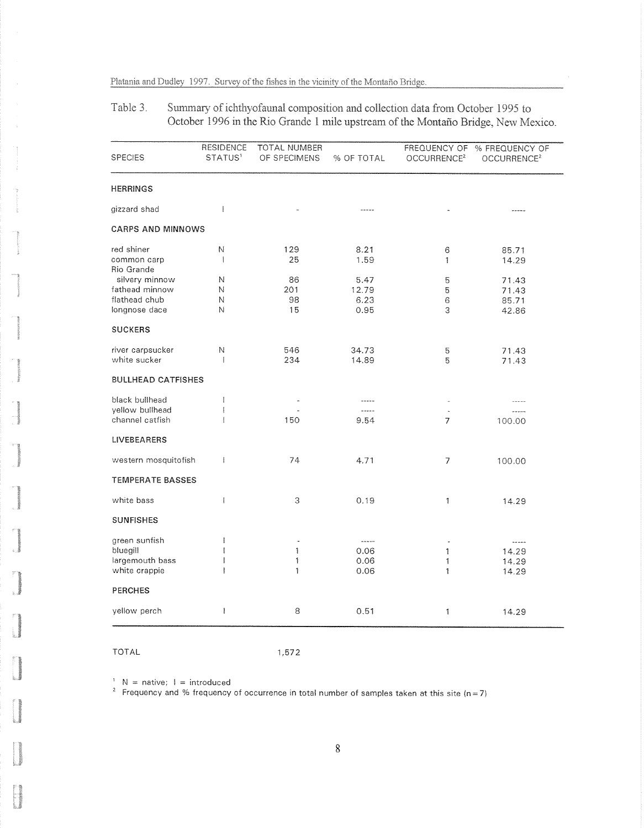Table 3. Summary of ichthyofaunal composition and collection data from October 1995 to October 1996 in the Rio Grande 1 mile upstream of the Montaño Bridge, New Mexico.

| <b>SPECIES</b>            | <b>RESIDENCE</b><br>STATUS <sup>1</sup> | TOTAL NUMBER<br>OF SPECIMENS | % OF TOTAL | FREQUENCY OF<br>OCCURRENCE <sup>2</sup> | % FREQUENCY OF<br>OCCURRENCE <sup>2</sup> |
|---------------------------|-----------------------------------------|------------------------------|------------|-----------------------------------------|-------------------------------------------|
| <b>HERRINGS</b>           |                                         |                              |            |                                         |                                           |
| gizzard shad              | $\mathbf{I}$                            |                              | -----      |                                         | -----                                     |
| <b>CARPS AND MINNOWS</b>  |                                         |                              |            |                                         |                                           |
| red shiner                | N                                       | 129                          | 8.21       | 6                                       | 85.71                                     |
| common carp<br>Rio Grande | $\mathbf{I}$                            | 25                           | 1.59       | 1                                       | 14.29                                     |
| silvery minnow            | N                                       | 86                           | 5.47       | 5                                       | 71.43                                     |
| fathead minnow            | N                                       | 201                          | 12.79      | 5                                       | 71.43                                     |
| flathead chub             | Ν                                       | 98                           | 6.23       | 6                                       | 85.71                                     |
| longnose dace             | Ν                                       | 15                           | 0.95       | 3                                       | 42.86                                     |
| <b>SUCKERS</b>            |                                         |                              |            |                                         |                                           |
| river carpsucker          | Ν                                       | 546                          | 34.73      | 5                                       | 71.43                                     |
| white sucker              | I                                       | 234                          | 14.89      | 5                                       | 71.43                                     |
| <b>BULLHEAD CATFISHES</b> |                                         |                              |            |                                         |                                           |
| black bullhead            | $\mathbb{I}$                            |                              |            |                                         |                                           |
| yellow bullhead           | $\mathbf{I}$                            |                              | .          |                                         |                                           |
| channel catfish           | $\ddagger$                              | 150                          | 9.54       | 7                                       | 100.00                                    |
| <b>LIVEBEARERS</b>        |                                         |                              |            |                                         |                                           |
| western mosquitofish      | $\overline{\phantom{a}}$                | 74                           | 4.71       | 7                                       | 100.00                                    |
| <b>TEMPERATE BASSES</b>   |                                         |                              |            |                                         |                                           |
| white bass                | $\mathbf{I}$                            | 3                            | 0.19       | 1                                       | 14.29                                     |
| <b>SUNFISHES</b>          |                                         |                              |            |                                         |                                           |
| green sunfish             | ł                                       | $\overline{\phantom{a}}$     | -----      | $\overline{\phantom{a}}$                | $\sim$ $\sim$ $\sim$ $\sim$               |
| bluegill                  | $\overline{1}$                          | 1                            | 0.06       | 1                                       | 14.29                                     |
| largemouth bass           | $\overline{1}$                          | 1                            | 0.06       | 1                                       | 14.29                                     |
| white crappie             | T                                       | 1                            | 0.06       | 1                                       | 14.29                                     |
| <b>PERCHES</b>            |                                         |                              |            |                                         |                                           |
| yellow perch              | $\mathbf{I}$                            | 8                            | 0.51       | 1                                       | 14.29                                     |

TOTAL 1,572

 $N =$  native;  $1 =$  introduced

 $^{\circ}$  Frequency and % frequency of occurrence in total number of samples taken at this site (n=7)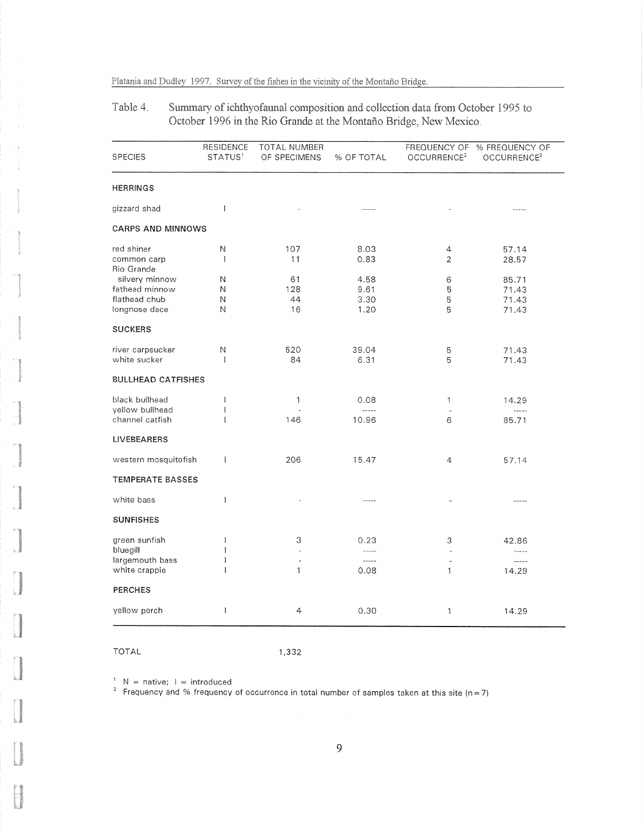Summary of ichthyofaunal composition and collection data from October 1995 to Table 4. October 1996 in the Rio Grande at the Montaño Bridge, New Mexico.

| <b>SPECIES</b>                   | <b>RESIDENCE</b><br>STATUS <sup>1</sup> | <b>TOTAL NUMBER</b><br>OF SPECIMENS | % OF TOTAL    | <b>FREQUENCY OF</b><br>OCCURRENCE <sup>2</sup> | % FREQUENCY OF<br>OCCURRENCE <sup>2</sup> |
|----------------------------------|-----------------------------------------|-------------------------------------|---------------|------------------------------------------------|-------------------------------------------|
| <b>HERRINGS</b>                  |                                         |                                     |               |                                                |                                           |
| gizzard shad                     | $\mathbf{I}$                            |                                     | -----         |                                                | -----                                     |
| <b>CARPS AND MINNOWS</b>         |                                         |                                     |               |                                                |                                           |
| red shiner                       | N                                       | 107                                 | 8.03          | 4                                              | 57.14                                     |
| common carp                      | $\mathbf{I}$                            | 11                                  | 0.83          | $\overline{2}$                                 | 28.57                                     |
| Rio Grande<br>silvery minnow     | Ν                                       | 61                                  | 4.58          | 6                                              |                                           |
| fathead minnow                   | Ν                                       | 128                                 | 9.61          | 5                                              | 85.71<br>71.43                            |
| flathead chub                    | N                                       | 44                                  | 3.30          | 5                                              | 71.43                                     |
| longnose dace                    | N                                       | 16                                  | 1.20          | 5                                              | 71.43                                     |
| <b>SUCKERS</b>                   |                                         |                                     |               |                                                |                                           |
|                                  |                                         |                                     |               |                                                |                                           |
| river carpsucker<br>white sucker | N<br>ţ                                  | 520<br>84                           | 39.04<br>6.31 | 5<br>5                                         | 71.43<br>71.43                            |
| <b>BULLHEAD CATFISHES</b>        |                                         |                                     |               |                                                |                                           |
| black bullhead                   | Į                                       | 1                                   | 0.08          | 1                                              | 14.29                                     |
| yellow bullhead                  | ł                                       |                                     | -----         |                                                | 1.1.1                                     |
| channel catfish                  | $\mathfrak{f}$                          | 146                                 | 10.96         | 6                                              | 85.71                                     |
| <b>LIVEBEARERS</b>               |                                         |                                     |               |                                                |                                           |
| western mosquitofish             | ŧ                                       | 206                                 | 15.47         | 4                                              | 57.14                                     |
| <b>TEMPERATE BASSES</b>          |                                         |                                     |               |                                                |                                           |
| white bass                       | ł                                       |                                     | -----         |                                                | $- - - - -$                               |
| <b>SUNFISHES</b>                 |                                         |                                     |               |                                                |                                           |
| green sunfish                    | $\mathbf{I}$                            | З                                   | 0.23          | 3                                              | 42.86                                     |
| bluegill                         | $\mathbf{I}$                            | L                                   | -----         |                                                | 1.1111                                    |
| largemouth bass                  | $\mathbf{I}$                            | ٠                                   | $\frac{1}{2}$ |                                                | -----                                     |
| white crappie                    |                                         | 1                                   | 0.08          | 1                                              | 14.29                                     |
| <b>PERCHES</b>                   |                                         |                                     |               |                                                |                                           |
| yellow perch                     | $\mathbf{I}$                            | 4                                   | 0.30          | 1                                              | 14.29                                     |

TOTAL

1,332

 $N =$  native;  $I =$  introduced

 $^{\prime}~$  Frequency and % frequency of occurrence in total number of samples taken at this site (n=7)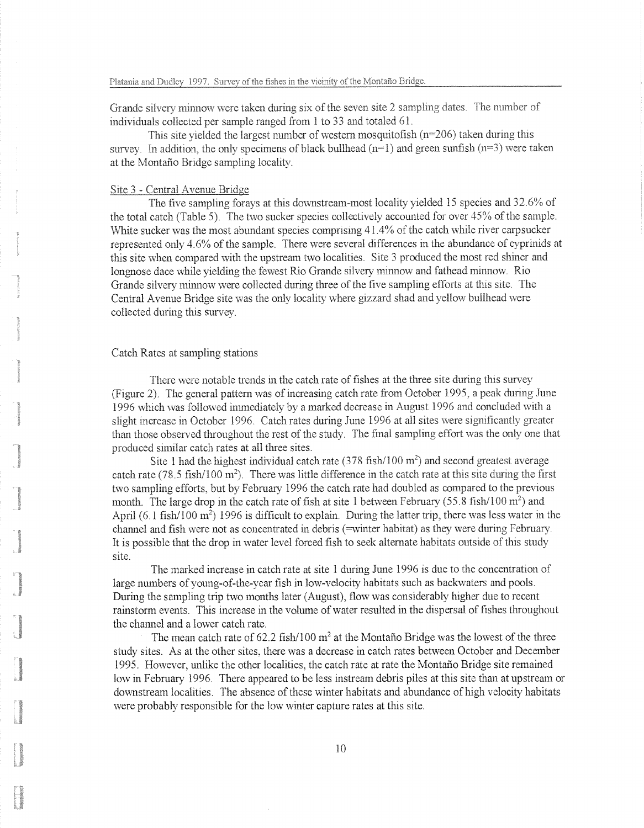Grande silvery minnow were taken during six of the seven site 2 sampling dates. The number of individuals collected per sample ranged from 1 to 33 and totaled 61.

This site yielded the largest number of western mosquitofish ( $n=206$ ) taken during this survey. In addition, the only specimens of black bullhead  $(n=1)$  and green sunfish  $(n=3)$  were taken at the Montaño Bridge sampling locality.

## Site 3 - Central Avenue Bridge

The five sampling forays at this downstream-most locality yielded 15 species and  $32.6\%$  of the total catch (Table 5). The two sucker species collectively accounted for over  $45\%$  of the sample. White sucker was the most abundant species comprising  $41.4\%$  of the catch while river carpsucker represented only  $4.6\%$  of the sample. There were several differences in the abundance of cyprinids at this site when compared with the upstream two localities. Site 3 produced the most red shiner and longnose dace while yielding the fewest Rio Grande silvery minnow and fathead minnow. Rio Grande silvery minnow were collected during three of the five sampling efforts at this site. The Central Avenue Bridge site was the only locality where gizzard shad and yellow bullhead were collected during this survey.

#### Catch Rates at sampling stations

There were notable trends in the catch rate of fishes at the three site during this survey (Figure 2)\* The general pattern was of increasing catch rate from October 1995, a peak during June 1996 which was followed immediately by a marked decrease in August 1995 and concluded with a slight increase in October 1996. Catch rates during June 1996 at all sites were significantly greater than those observed throughout the rest of the study. The final sampling effort was the only one that produced similar catch rates at all three sites.

Site 1 had the highest individual catch rate  $(378 \text{ fish}/100 \text{ m}^2)$  and second greatest average catch rate (78.5 fish/100 m<sup>2</sup>). There was little difference in the catch rate at this site during the first two sampling efforts, but by February 1996 the catch rate had doubled as compared to the previous month. The large drop in the catch rate of fish at site 1 between February (55.8 fish/100  $\mathrm{m}^2$ ) and April  $(6.1 \text{ fish}/100 \text{ m}^2)$  1996 is difficult to explain. During the latter trip, there was less water in the channel and fish were not as concentrated in debris (=winter habitat) as they were during February. It is possible that the drop in water level forced fish to seek alternate habitats outside of this study site.

The marked increase in catch rate at site 1 during June 1996 is due to the concentration of large numbers of young-of-the-year fish in low-velocity habitats such as backwaters and pools. During the sampling trip two months later (August), flow was considerably higher due to recent rainstorm events. This increase in the volume of water resulted in the dispersal of fishes throughout the channel and a lower catch rate.

The mean catch rate of 62.2 fish/100  $m<sup>2</sup>$  at the Montano Bridge was the lowest of the three study sites. As at the other sites, there was a decrease in catch rates between October and December 1995. However, unlike the other localities, the catch rate at rate the Montario Bridge site remained low in February 1996. There appeared to be less instream debris piles at this site than at upstream or downstream localities. The absence of these winter habitats and abundance of high velocity habitats were probably responsible for the low winter capture rates at this site.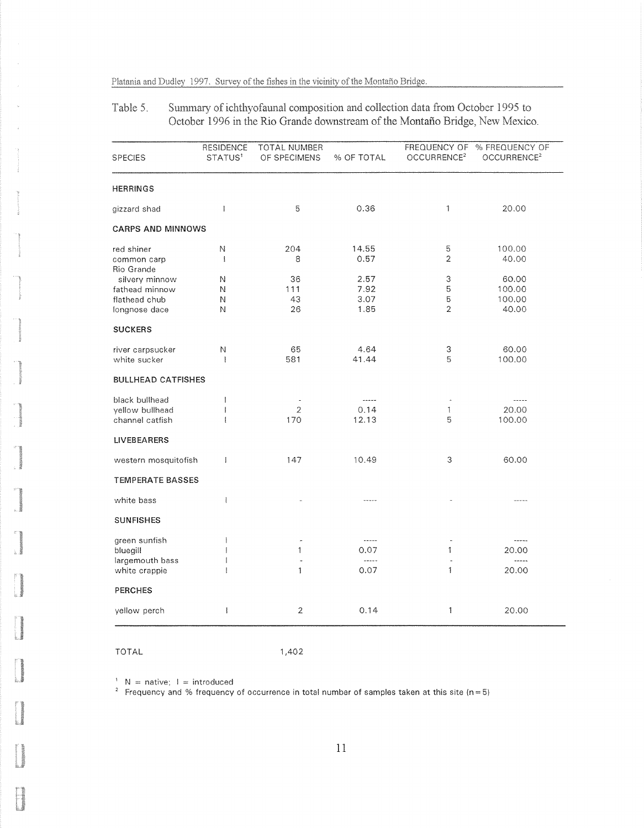Table 5. Summary of ichthyofaunal composition and collection data from October 1995 to October 1996 in the Rio Grande downstream of the Montaño Bridge, New Mexico.

| <b>SPECIES</b>            | <b>RESIDENCE</b><br>STATUS <sup>1</sup> | TOTAL NUMBER<br>OF SPECIMENS | % OF TOTAL | FREQUENCY OF<br>OCCURRENCE <sup>2</sup> | % FREQUENCY OF<br>OCCURRENCE <sup>2</sup> |
|---------------------------|-----------------------------------------|------------------------------|------------|-----------------------------------------|-------------------------------------------|
| <b>HERRINGS</b>           |                                         |                              |            |                                         |                                           |
| gizzard shad              | $\mathsf{I}$                            | 5                            | 0.36       | 1                                       | 20.00                                     |
| <b>CARPS AND MINNOWS</b>  |                                         |                              |            |                                         |                                           |
| red shiner                | Ν                                       | 204                          | 14.55      | 5                                       | 100.00                                    |
| common carp<br>Rio Grande | $\mathbb{I}$                            | 8                            | 0.57       | 2                                       | 40.00                                     |
| silvery minnow            | N                                       | 36                           | 2.57       | 3                                       | 60.00                                     |
| fathead minnow            | Ν                                       | 111                          | 7.92       | 5                                       | 100.00                                    |
| flathead chub             | N                                       | 43                           | 3.07       | 5                                       | 100.00                                    |
| longnose dace             | N                                       | 26                           | 1,85       | 2                                       | 40.00                                     |
| <b>SUCKERS</b>            |                                         |                              |            |                                         |                                           |
| river carpsucker          | Ν                                       | 65                           | 4.64       | 3                                       | 60.00                                     |
| white sucker              | ł                                       | 581                          | 41.44      | 5                                       | 100.00                                    |
| <b>BULLHEAD CATFISHES</b> |                                         |                              |            |                                         |                                           |
| black bullhead            | $\mathbf{I}$                            | $\bar{~}$                    | ------     |                                         | -----                                     |
| yellow bullhead           | $\mathsf{I}$                            | 2                            | 0.14       | 1                                       | 20.00                                     |
| channel catfish           | I                                       | 170                          | 12.13      | 5                                       | 100.00                                    |
| <b>LIVEBEARERS</b>        |                                         |                              |            |                                         |                                           |
| western mosquitofish      | ł                                       | 147                          | 10.49      | 3                                       | 60.00                                     |
| <b>TEMPERATE BASSES</b>   |                                         |                              |            |                                         |                                           |
| white bass                | ł                                       |                              | -----      |                                         |                                           |
| <b>SUNFISHES</b>          |                                         |                              |            |                                         |                                           |
| green sunfish             | ł                                       | $\tilde{\phantom{a}}$        | -----      | ä,                                      | -----                                     |
| bluegill                  | Ĭ                                       | 1                            | 0.07       | 1                                       | 20.00                                     |
| largemouth bass           | ł                                       |                              | -----      | í.                                      | -----                                     |
| white crappie             |                                         | 1                            | 0.07       | 1                                       | 20.00                                     |
| <b>PERCHES</b>            |                                         |                              |            |                                         |                                           |
| yellow perch              | Ĭ                                       | $\overline{2}$               | 0.14       | 1                                       | 20.00                                     |

TOTAL

1,402

 $N =$  native;  $I =$  introduced

 $^{\rm 2}~$  Frequency and % frequency of occurrence in total number of samples taken at this site (n=5)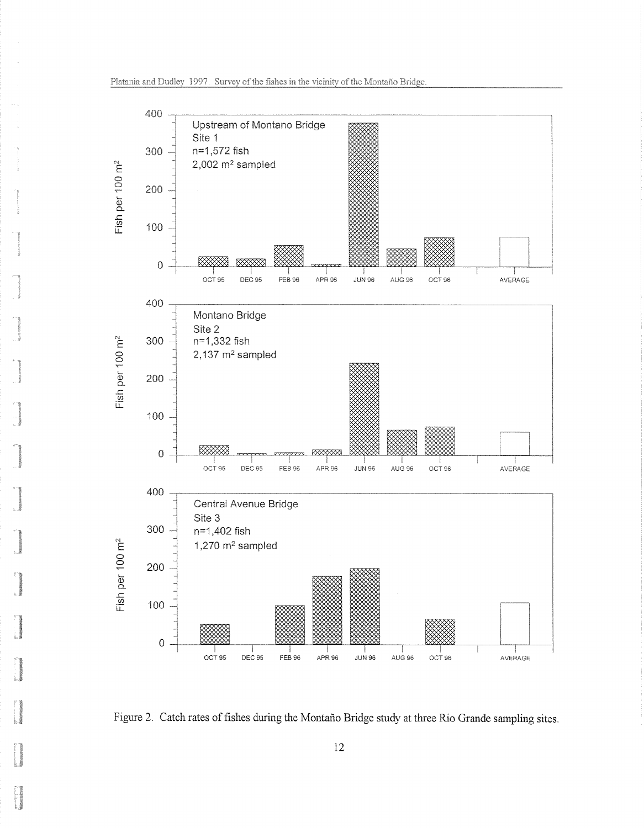

Figure 2. Catch rates of fishes during the Montano Bridge study at three Rio Grande sampling sites.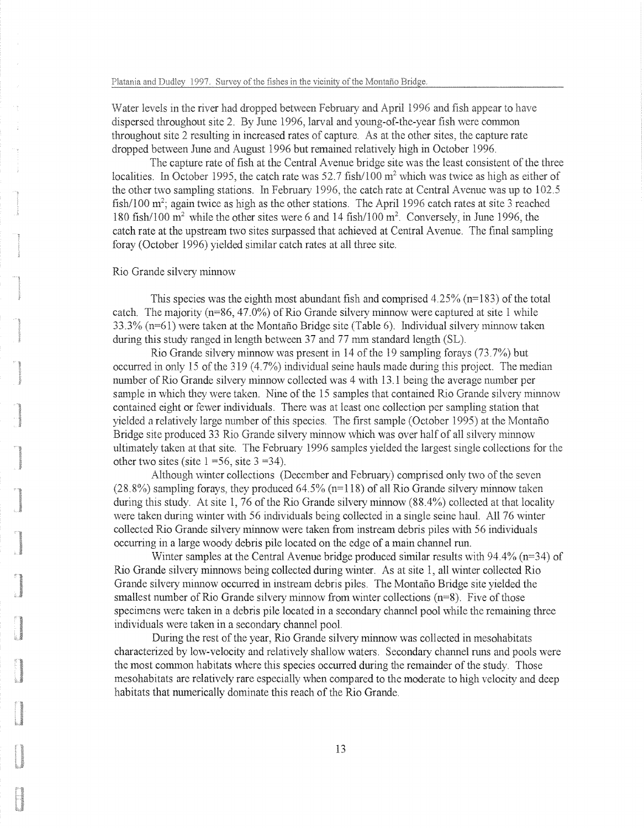Water levels in the river had dropped between February and April 1996 and fish appear to have dispersed throughout site 2. By June 1996, larval and young-of-the-year fish were common throughout site 2 resulting in increased rates of capture. As at the other sites, the capture rate dropped between June and August 1996 but remained relatively high in October 1996.

The capture rate of fish at the Central Avenue bridge site was the least consistent of the three localities. In October 1995, the catch rate was  $52.7 \text{ fish}/100 \text{ m}^2$  which was twice as high as either of the other two sampling stations. In February 1996, the catch rate at Central Avenue was up to  $102.5$ fish/100  $m^2$ ; again twice as high as the other stations. The April 1996 catch rates at site 3 reached 180 fish/100 m<sup>2</sup> while the other sites were 6 and 14 fish/100 m<sup>2</sup>. Conversely, in June 1996, the catch rate at the upstream two sites surpassed that achieved at Central Avenue. The final sampling foray (October 1996) yielded similar catch rates at all three site.

### Rio Grande silvery minnow

This species was the eighth most abundant fish and comprised  $4.25\%$  (n=183) of the total catch. The majority  $(n=86, 47.0%)$  of Rio Grande silvery minnow were captured at site 1 while 33.3% (n=61) were taken at the Montano Bridge site (Table 6). Individual silvery minnow taken during this study ranged in length between 37 and 77 mm standard length (SL).

Rio Grande silvery minnow was present in 14 of the 19 sampling forays  $(73.7%)$  but occurred in only 15 of the 319  $(4.7%)$  individual seine hauls made during this project. The median number of Rio Grande silvery minnow collected was 4 with 13.1 being the average number per sample in which they were taken. Nine of the 15 samples that contained Rio Grande silvery minnow contained eight or fewer individuals, There was at least one collection per sampling station that yielded a relatively large number of this species. The first sample (October 1995) at the Montaño Bridge site produced 33 Rio Grande silvery minnow which was over half of all silvery minnow ultimately taken at that site. The February 1996 samples yielded the largest single collections for the other two sites (site  $1 = 56$ , site  $3 = 34$ ).

Although winter collections (December and February) comprised only two of the seven  $(28.8\%)$  sampling forays, they produced 64.5% (n=118) of all Rio Grande silvery minnow taken during this study. At site 1, 76 of the Rio Grande silvery minnow (88.4%) collected at that locality were taken during winter with 56 individuals being collected in a single scine haul. All 76 winter collected Rio Grande silvery minnow were taken from instream debris piles with 56 individuals occurring in a large woody debris pile located on the edge of a main channel run.

Winter samples at the Central Avenue bridge produced similar results with 94.4% (n=34) of Rio Grande silvery minnows being collected during winter. As at site 1, all winter collected Rio Grande silvery minnow occurred in instream debris piles. The Montario Bridge site yielded the smallest number of Rio Grande silvery minnow from winter collections (n=8). Five of those specimens were taken in a debris pile located in a secondary channel pool while the remaining three individuals were taken in a secondary channel pool.

During the rest of the year, Rio Grande silvery minnow was collected in mesohabitats characterized by low-velocity and relatively shallow waters. Secondary channel runs and pools were the most common habitats where this species occurred during the remainder of the study. Those mesohabitats are relatively rare especially when compared to the moderate to high velocity and deep habitats that numerically dominate this reach of the Rio Grande.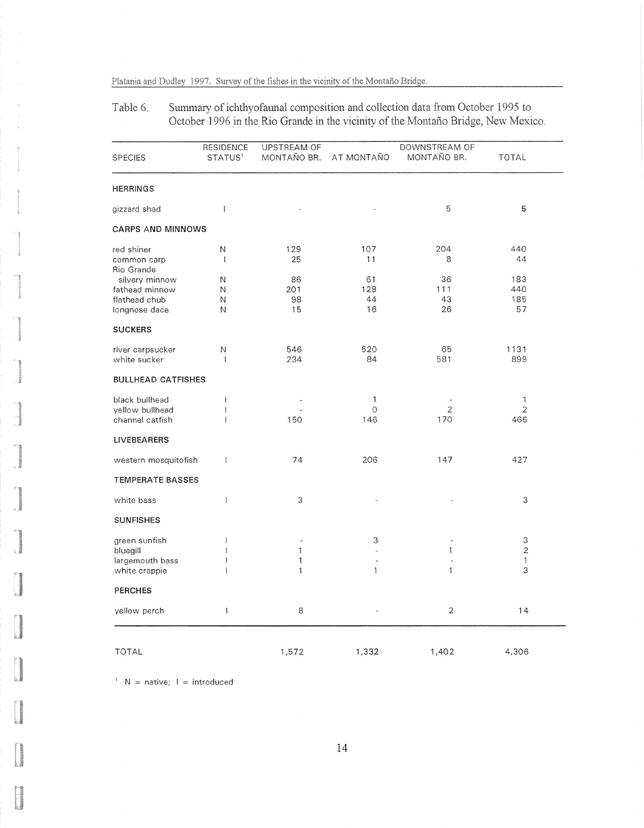Summary of ichthyofaunal composition and collection data from October 1995 to Table 6. October 1996 in the Rio Grande in the vicinity of the Montano Bridge, New Mexico,

|                           | <b>RESIDENCE</b>    | <b>UPSTREAM OF</b> |            | DOWNSTREAM OF  |              |
|---------------------------|---------------------|--------------------|------------|----------------|--------------|
| <b>SPECIES</b>            | STATUS <sup>1</sup> | MONTAÑO BR.        | AT MONTAÑO | MONTAÑO BR.    | <b>TOTAL</b> |
| <b>HERRINGS</b>           |                     |                    |            |                |              |
| gizzard shad              | Ť                   |                    |            | 5              | 5            |
| <b>CARPS AND MINNOWS</b>  |                     |                    |            |                |              |
| red shiner                | N                   | 129                | 107        | 204            | 440          |
| common carp               | J.                  | 25                 | 11         | 8              | 44           |
| Rio Grande                |                     |                    |            |                |              |
| silvery minnow            | N                   | 86                 | 61         | 36             | 183          |
| fathead minnow            | Ν                   | 201                | 128        | 111            | 440          |
| flathead chub             | Ν                   | 98                 | 44         | 43             | 185          |
| longnose dace             | Ν                   | 15                 | 16         | 26             | 57           |
| <b>SUCKERS</b>            |                     |                    |            |                |              |
| river carpsucker          | N                   | 546                | 520        | 65             | 1131         |
| white sucker              | $\mathbf{I}$        | 234                | 84         | 581            | 899          |
| <b>BULLHEAD CATFISHES</b> |                     |                    |            |                |              |
| black bullhead            | $\mathbf{I}$        |                    | 1          |                | 1            |
| yellow bullhead           | I                   |                    | $\Omega$   | 2              | 2            |
| channel catfish           | ł                   | 150                | 146        | 170            | 466          |
| <b>LIVEBEARERS</b>        |                     |                    |            |                |              |
| western mosquitofish      | $\mathbb{I}$        | 74                 | 206        | 147            | 427          |
| <b>TEMPERATE BASSES</b>   |                     |                    |            |                |              |
| white bass                | $\mathbf{I}$        | 3                  |            |                | 3            |
| <b>SUNFISHES</b>          |                     |                    |            |                |              |
| green sunfish             | Ť.                  |                    | 3          |                | 3            |
| bluegill                  | I                   | 1                  | ä,         | 1              | 2            |
| largemouth bass           | ĵ                   | 1                  | ä,         |                | 1            |
| white crappie             | ţ                   | 1                  | 1          | 1              | 3            |
| <b>PERCHES</b>            |                     |                    |            |                |              |
| yellow perch              | $\mathbb{I}$        | 8                  |            | $\overline{2}$ | 14           |
| <b>TOTAL</b>              |                     | 1,572              | 1,332      | 1,402          | 4,306        |

 $N =$  native;  $I =$  introduced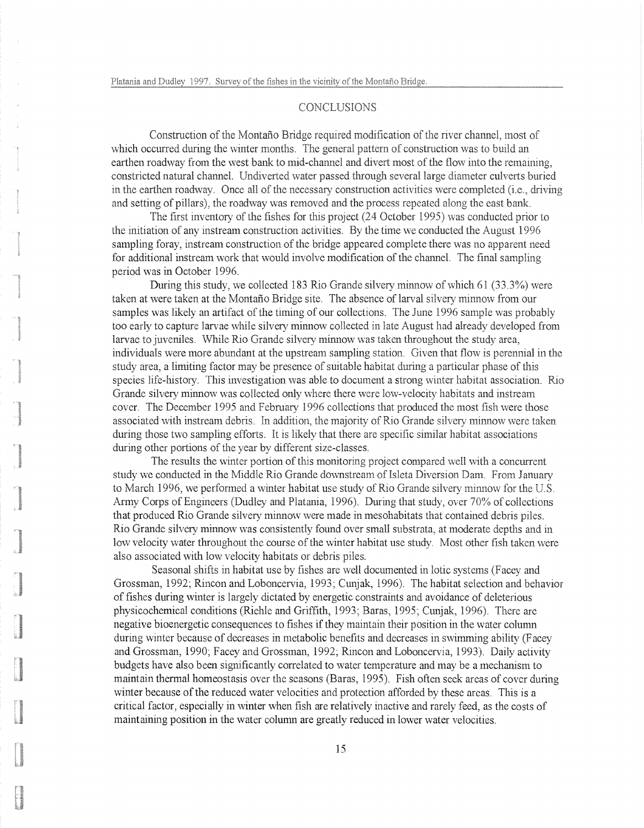### CONCLUSIONS

Construction of the Montaño Bridge required modification of the river channel, most of which occurred during the winter months. The general pattern of construction was to build an earthen roadway from the west bank to mid-channel and divert most of the flow into the remaining. constricted natural channel. Undiverted water passed through several large diameter culverts buried in the earthen roadway. Once all of the necessary construction activities were completed (i.e., driving and setting of pillars), the roadway was removed and the process repeated along the east bank.

The first inventory of the fishes for this project (24 October 1995) was conducted prior to the initiation of any instream construction activities. By the time we conducted the August 1996 sampling foray, instream construction of the bridge appeared complete there was no apparent need for additional instream work that would involve modification of the channel. The final sampling period was in October 1996.

During this study, we collected 183 Rio Grande silvery minnow of which 61 (33.3%) were taken at were taken at the Montario Bridge site. The absence of larval silvery minnow from our samples was likely an artifact of the timing of our collections. The June 1996 sample was probably too early to capture larvae while silvery minnow collected in late August had already developed from larvae to juveniles. While Rio Grande silvery minnow was taken throughout the study area, individuals were more abundant at the upstream sampling station. Given that flow is perennial in the study area, a limiting factor may be presence of suitable habitat during a particular phase of this species life-history. This investigation was able to document a strong winter habitat association. Rio Grande silvery minnow was collected only where there were low-velocity habitats and instream cover. The December 1995 and February 1996 collections that produced the most fish were those associated with instream debris. In addition, the majority of Rio Grande silvery minnow were taken during those two sampling efforts. It is likely that there are specific similar habitat associations during other portions of the year by different size-classes.

The results the winter portion of this monitoring project compared well with a concurrent study we conducted in the Middle Rio Grande downstream of Isleta Diversion Dam. From January to March 1996, we performed a winter habitat use study of Rio Grande silvery minnow for the U.S. Army Corps of Engineers (Dudley and Platania, 1996). During that study ;over 70% of collections that produced Rio Grande silvery minnow were made in mesohabitats that contained debris piles. Rio Grande silvery minnow was consistently found over small substrata, at moderate depths and in low velocity water throughout the course of the winter habitat use study. Most other fish taken were also associated with low velocity habitats or debris piles.

Seasonal shifts in habitat use by fishes are well documented in lotic systems (Facey and Grossman, 1992; Rincon and Loboncervia, 1993; Cunjak, 1996). The habitat selection and behavior of fishes during winter is largely dictated by energetic constraints and avoidance of deleterious physicochemical conditions (Riehle and Griffith, 1993; Baras, 1995; Cunjak, 1996). There are negative bioenergetic consequences to fishes if they maintain their position in the water column during winter because of decreases in metabolic benefits and decreases in swimming ability (Facey and Grossman, 1990; Facey and Grossman, 1992; Rincon and Loboncervia, 1993). Daily activity budgets have also been significantly correlated to water temperature and may be a mechanism to maintain thermal homeostasis over the seasons (Baras, 1995). Fish often seek areas of cover during winter because of the reduced water velocities and protection afforded by these areas. This is a critical factor, especially in winter when fish are relatively inactive and rarely feed, as the costs of maintaining position in the water column are greatly reduced in lower water velocities.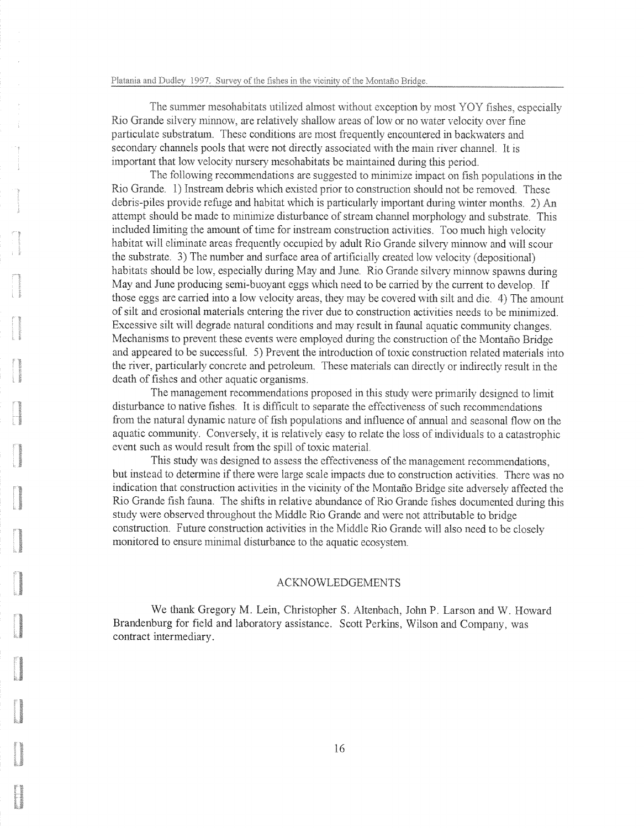L.

1

The summer mesohabitats utilized almost without exception by most YOY fishes, especially Rio Grande silvery minnow, are relatively shallow areas of low or no water velocity over fine particulate substratum. These conditions are most frequently encountered in backwaters and secondary channels pools that were not directly associated with the main river channel. It is important that low velocity nursery mesohabitats be maintained during this period.

The following recommendations are suggested to minimize impact on fish populations in the Rio Grande. 1) Instream debris which existed prior to construction should not be removed. These debris-piles provide refuge and habitat which is particularly important during winter months.  $2)$  An attempt should be made to minimize disturbance of stream channel morphology and substrate. This included limiting the amount of time for instream construction activities. Too much high velocity habitat will eliminate areas frequently occupied by adult Rio Grande silvery minnow and will scour the substrate. 3) The number and surface area of artificially created low velocity (depositional) habitats should be low, especially during May and June. Rio Grande silvery minnow spawns during May and June producing semi-buoyant eggs which need to be carried by the current to develop. If those eggs are carried into a low velocity areas, they may be covered with silt and die. 4) The amount of silt and erosional materials entering the river due to construction activities needs to be minimized. Excessive silt will degrade natural conditions and may result in faunal aquatic community changes, Mechanisms to prevent these events were employed during the construction of the Montaño Bridge and appeared to be successful. 5) Prevent the introduction of toxic construction related materials into the river, particularly concrete and petroleum. These materials can directly or indirectly result in the death of fishes and other aquatic organisms.

The management recommendations proposed in this study were primarily designed to limit disturbance to native fishes. It is difficult to separate the effectiveness of such recommendations from the natural dynamic nature of fish populations and influence of annual and seasonal flow on the aquatic community. Conversely, it is relatively easy to relate the loss of individuals to a catastrophic event such as would result from the spill of toxic material.

This study was designed to assess the effectiveness of the management recommendations, but instead to determine if there were large scale impacts due to construction activities. There was no indication that construction activities in the vicinity of the Montano Bridge site adversely affected the Rio Grande fish fauna. The shifts in relative abundance of Rio Grande fishes documented during this study were observed throughout the Middle Rio Grande and were not attributable to bridge construction. Future construction activities in the Middle Rio Grande will also need to be closely monitored to ensure minimal disturbance to the aquatic ecosystem.

#### ACKNOWLEDGEMENTS

We thank Gregory M. Lein, Christopher S. Altenbach, John P. Larson and W. Howard Brandenburg for field and laboratory assistance. Scott Perkins, Wilson and Company, was contract intermediary.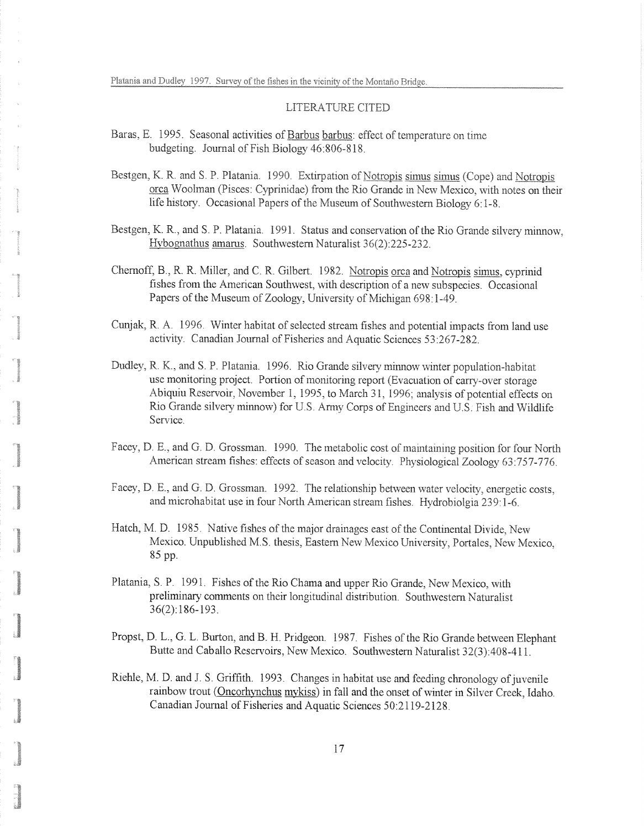### LITERATURE CITED

- Baras, E. 1995. Seasonal activities of Barbus barbus: effect of temperature on time budgeting. Journal of Fish Biology  $46:806-818$ .
- Bestgen, K. R. and S. P. Platania. 1990. Extirpation of Notropis simus simus (Cope) and Notropis orca Woolman (Pisces: Cyprinidae) from the Rio Grande in New Mexico, with notes on their life history. Occasional Papers of the Museum of Southwestern Biology  $6:1-8$ .
- Bestgen, K. R., and S. P. Platania. 1991. Status and conservation of the Rio Grande silvery minnow, Hvbognathus amarus. Southwestern Naturalist 36(2):225-232.
- Chernoff, B., R. R. Miller, and C. R. Gilbert. 1982. Notropis orca and Notropis simus, cyprinid fishes from the American Southwest, with description of a new subspecies. Occasional Papers of the Museum of Zoology, University of Michigan 698:1-49.
- Cunjak, R. A. 1996. Winter habitat of selected stream fishes and potential impacts from land use activity. Canadian Journal of Fisheries and Aquatic Sciences 53:267-282.
- Dudley, R. K., and S. P. Platania. 1996. Rio Grande silvery minnow winter population-habitat use monitoring project. Portion of monitoring report (Evacuation of carry-over storage Abiquiu Reservoir, November 1, 1995, to March 31, 1996; analysis of potential effects on Rio Grande silvery minnow) for U.S. Army Corps of Engineers and U.S. Fish and Wildlife Service.
- Facey, D. E., and G. D. Grossman. 1990. The metabolic cost of maintaining position for four North American stream fishes: effects of season and velocity. Physiological Zoology 63:757-776.
- Facev, D. E., and G. D. Grossman. 1992. The relationship between water velocity, energetic costs, and microhabitat use in four North American stream fishes. Hydrobiolgia 239:1-6.
- Hatch, M. D. 1985. Native fishes of the major drainages east of the Continental Divide, New Mexico. Unpublished M.S. thesis, Eastern New Mexico University, Portales, New Mexico, 85 pp.
- Platania, S. P. 1991. Fishes of the Rio Chama and upper Rio Grande, New Mexico, with preliminary comments on their longitudinal distribution. Southwestern Naturalist 36(2):186-193.
- Propst, D. L., G. L. Burton, and B. H. Pridgeon. 1987. Fishes of the Rio Grande between Elephant Butte and Caballo Reservoirs, New Mexico. Southwestern Naturalist 32(3):408-411.
- Riehle, M. D. and J. S. Griffith. 1993. Changes in habitat use and feeding chronology of juvenile rainbow trout (Oncorhynchus mykiss) in fall and the onset of winter in Silver Creek, Idaho. Canadian Journal of Fisheries and Aquatic Sciences 50:2119-2128.